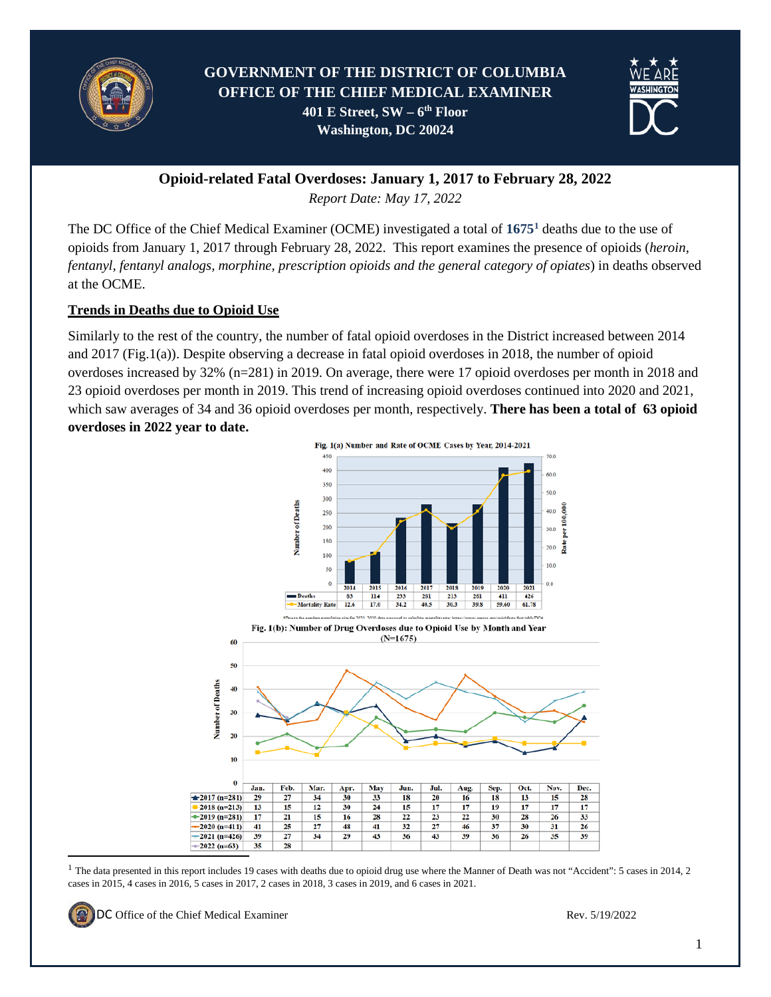

# **GOVERNMENT OF THE DISTRICT OF COLUMBIA OFFICE OF THE CHIEF MEDICAL EXAMINER 401 E Street, SW – 6th Floor Washington, DC 20024**



**Opioid-related Fatal Overdoses: January 1, 2017 to February 28, 2022**

*Report Date: May 17, 2022*

The DC Office of the Chief Medical Examiner (OCME) investigated a total of **1675[1](#page-0-0)** deaths due to the use of opioids from January 1, 2017 through February 28, 2022. This report examines the presence of opioids (*heroin, fentanyl, fentanyl analogs, morphine, prescription opioids and the general category of opiates*) in deaths observed at the OCME.

### **Trends in Deaths due to Opioid Use**

Similarly to the rest of the country, the number of fatal opioid overdoses in the District increased between 2014 and 2017 (Fig.1(a)). Despite observing a decrease in fatal opioid overdoses in 2018, the number of opioid overdoses increased by 32% (n=281) in 2019. On average, there were 17 opioid overdoses per month in 2018 and 23 opioid overdoses per month in 2019. This trend of increasing opioid overdoses continued into 2020 and 2021, which saw averages of 34 and 36 opioid overdoses per month, respectively. **There has been a total of 63 opioid overdoses in 2022 year to date.** 



<span id="page-0-0"></span><sup>1</sup> The data presented in this report includes 19 cases with deaths due to opioid drug use where the Manner of Death was not "Accident": 5 cases in 2014, 2 cases in 2015, 4 cases in 2016, 5 cases in 2017, 2 cases in 2018, 3 cases in 2019, and 6 cases in 2021.



**DC** Office of the Chief Medical Examiner Rev. 5/19/2022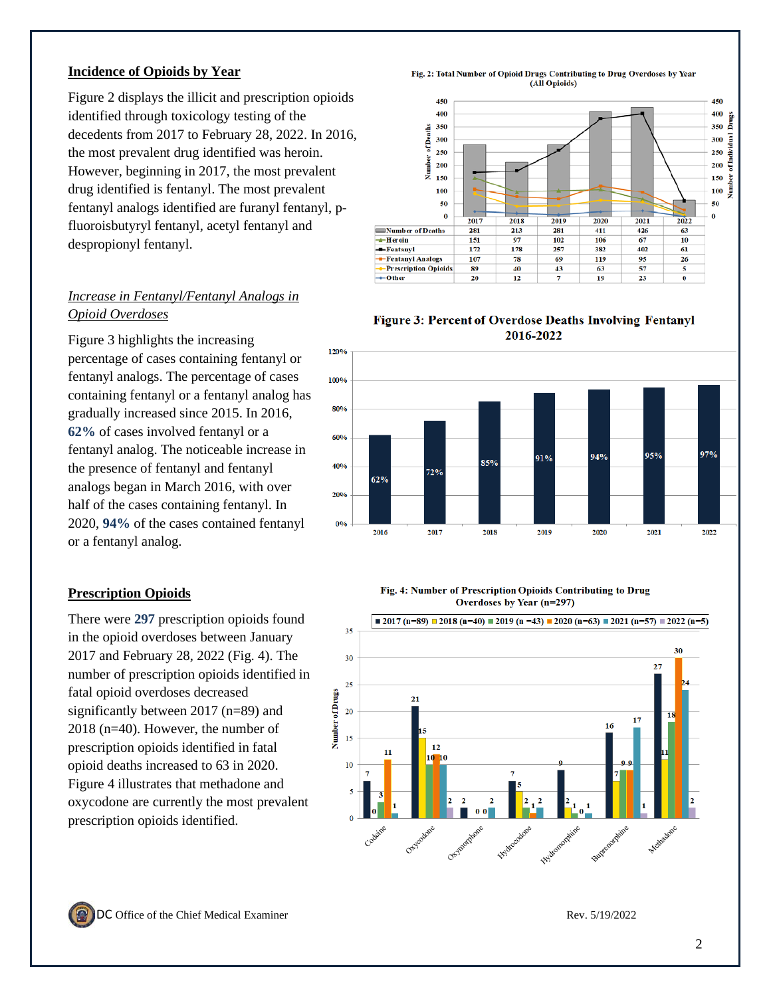#### **Incidence of Opioids by Year**

Figure 2 displays the illicit and prescription opioids identified through toxicology testing of the decedents from 2017 to February 28, 2022. In 2016, the most prevalent drug identified was heroin. However, beginning in 2017, the most prevalent drug identified is fentanyl. The most prevalent fentanyl analogs identified are furanyl fentanyl, pfluoroisbutyryl fentanyl, acetyl fentanyl and despropionyl fentanyl.

## *Increase in Fentanyl/Fentanyl Analogs in Opioid Overdoses*

Figure 3 highlights the increasing percentage of cases containing fentanyl or fentanyl analogs. The percentage of cases containing fentanyl or a fentanyl analog has gradually increased since 2015. In 2016, **62%** of cases involved fentanyl or a fentanyl analog. The noticeable increase in the presence of fentanyl and fentanyl analogs began in March 2016, with over half of the cases containing fentanyl. In 2020, **94%** of the cases contained fentanyl or a fentanyl analog.

### **Prescription Opioids**

There were **297** prescription opioids found in the opioid overdoses between January 2017 and February 28, 2022 (Fig. 4). The number of prescription opioids identified in fatal opioid overdoses decreased significantly between 2017 (n=89) and 2018 (n=40). However, the number of prescription opioids identified in fatal opioid deaths increased to 63 in 2020. Figure 4 illustrates that methadone and oxycodone are currently the most prevalent prescription opioids identified.

Fig. 2: Total Number of Opioid Drugs Contributing to Drug Overdoses by Year (All Opioids)



Figure 3: Percent of Overdose Deaths Involving Fentanyl 2016-2022



#### Fig. 4: Number of Prescription Opioids Contributing to Drug Overdoses by Year (n=297)



DC Office of the Chief Medical Examiner Rev. 5/19/2022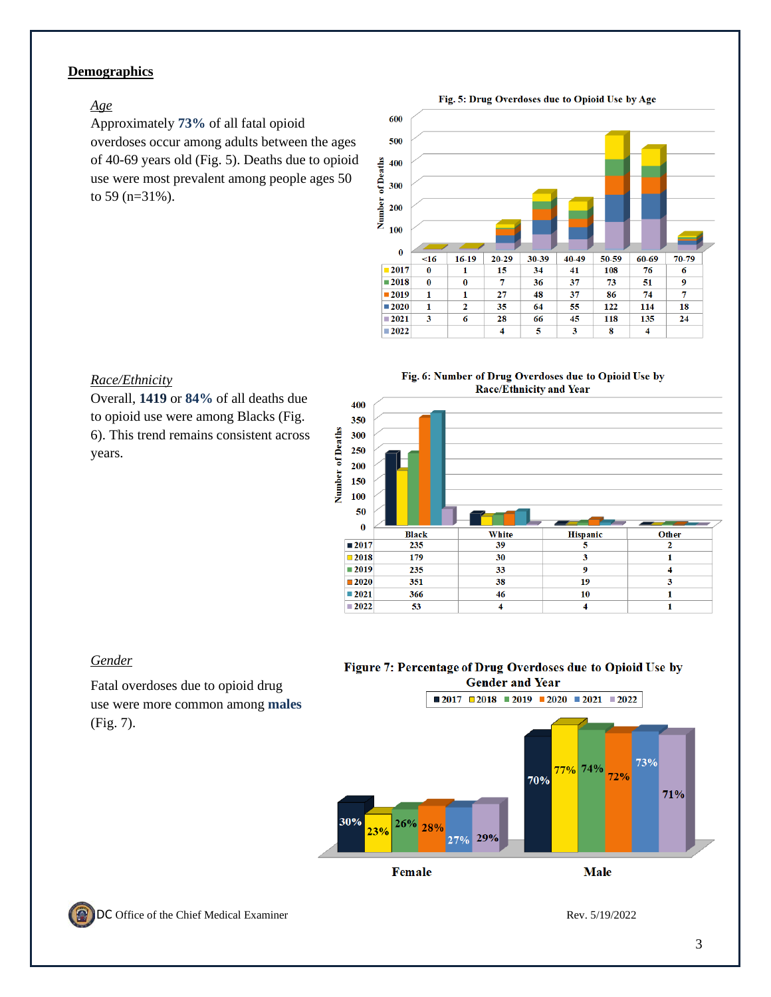### **Demographics**

#### *Age*

Approximately **73%** of all fatal opioid overdoses occur among adults between the ages of 40-69 years old (Fig. 5). Deaths due to opioid use were most prevalent among people ages 50 to 59 (n=31%).





#### *Race/Ethnicity*

Overall, **1419** or **84%** of all deaths due to opioid use were among Blacks (Fig. 6). This trend remains consistent across years.





### *Gender*

Fatal overdoses due to opioid drug use were more common among **males** (Fig. 7).

#### Figure 7: Percentage of Drug Overdoses due to Opioid Use by **Gender and Year**